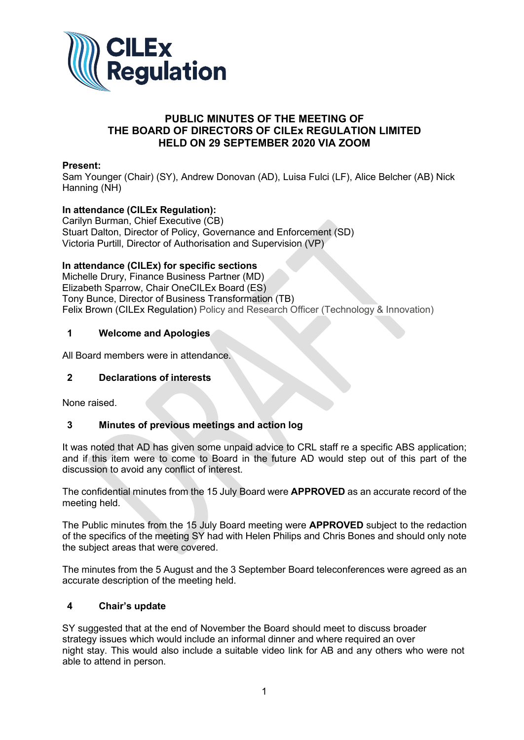

# **PUBLIC MINUTES OF THE MEETING OF THE BOARD OF DIRECTORS OF CILEx REGULATION LIMITED HELD ON 29 SEPTEMBER 2020 VIA ZOOM**

### **Present:**

Sam Younger (Chair) (SY), Andrew Donovan (AD), Luisa Fulci (LF), Alice Belcher (AB) Nick Hanning (NH)

# **In attendance (CILEx Regulation):**

Carilyn Burman, Chief Executive (CB) Stuart Dalton, Director of Policy, Governance and Enforcement (SD) Victoria Purtill, Director of Authorisation and Supervision (VP)

### **In attendance (CILEx) for specific sections**

Michelle Drury, Finance Business Partner (MD) Elizabeth Sparrow, Chair OneCILEx Board (ES) Tony Bunce, Director of Business Transformation (TB) Felix Brown (CILEx Regulation) Policy and Research Officer (Technology & Innovation)

### **1 Welcome and Apologies**

All Board members were in attendance.

### **2 Declarations of interests**

None raised.

### **3 Minutes of previous meetings and action log**

It was noted that AD has given some unpaid advice to CRL staff re a specific ABS application; and if this item were to come to Board in the future AD would step out of this part of the discussion to avoid any conflict of interest.

The confidential minutes from the 15 July Board were **APPROVED** as an accurate record of the meeting held.

The Public minutes from the 15 July Board meeting were **APPROVED** subject to the redaction of the specifics of the meeting SY had with Helen Philips and Chris Bones and should only note the subject areas that were covered.

The minutes from the 5 August and the 3 September Board teleconferences were agreed as an accurate description of the meeting held.

### **4 Chair's update**

SY suggested that at the end of November the Board should meet to discuss broader strategy issues which would include an informal dinner and where required an over night stay. This would also include a suitable video link for AB and any others who were not able to attend in person.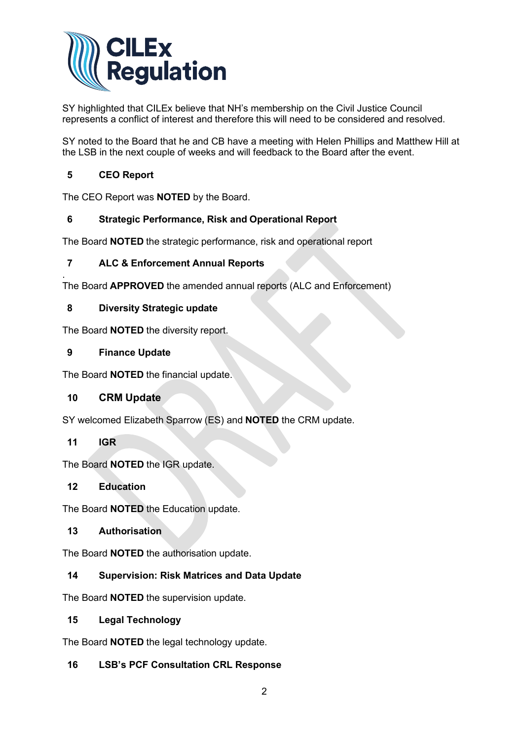

SY highlighted that CILEx believe that NH's membership on the Civil Justice Council represents a conflict of interest and therefore this will need to be considered and resolved.

SY noted to the Board that he and CB have a meeting with Helen Phillips and Matthew Hill at the LSB in the next couple of weeks and will feedback to the Board after the event.

# **5 CEO Report**

The CEO Report was **NOTED** by the Board.

# **6 Strategic Performance, Risk and Operational Report**

The Board **NOTED** the strategic performance, risk and operational report

# **7 ALC & Enforcement Annual Reports**

. The Board **APPROVED** the amended annual reports (ALC and Enforcement)

# **8 Diversity Strategic update**

The Board **NOTED** the diversity report.

# **9 Finance Update**

The Board **NOTED** the financial update.

# **10 CRM Update**

SY welcomed Elizabeth Sparrow (ES) and **NOTED** the CRM update.

### **11 IGR**

The Board **NOTED** the IGR update.

### **12 Education**

The Board **NOTED** the Education update.

### **13 Authorisation**

The Board **NOTED** the authorisation update.

# **14 Supervision: Risk Matrices and Data Update**

The Board **NOTED** the supervision update.

# **15 Legal Technology**

The Board **NOTED** the legal technology update.

# **16 LSB's PCF Consultation CRL Response**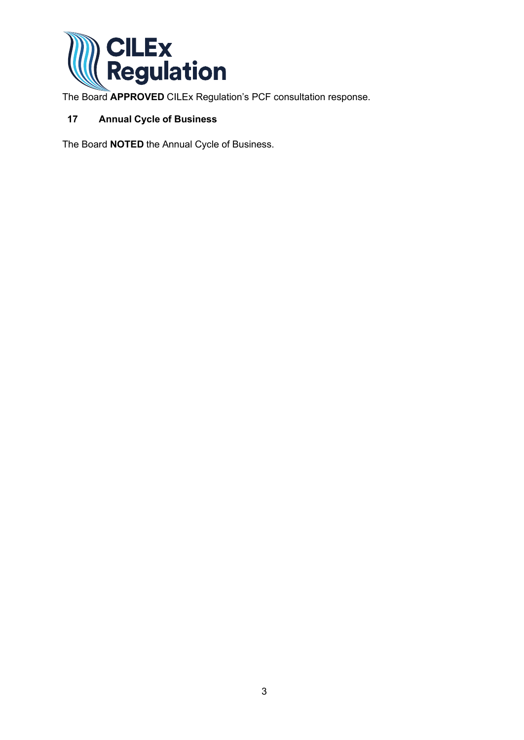

The Board **APPROVED** CILEx Regulation's PCF consultation response.

# **17 Annual Cycle of Business**

The Board **NOTED** the Annual Cycle of Business.